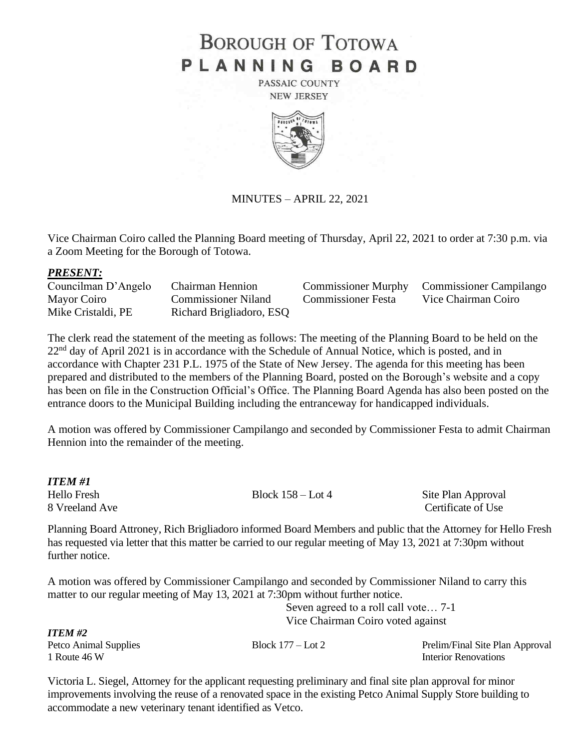# **BOROUGH OF TOTOWA** PLANNING BOARD

PASSAIC COUNTY **NEW JERSEY** 



MINUTES – APRIL 22, 2021

Vice Chairman Coiro called the Planning Board meeting of Thursday, April 22, 2021 to order at 7:30 p.m. via a Zoom Meeting for the Borough of Totowa.

### *PRESENT:*

Councilman D'Angelo Chairman Hennion Commissioner Murphy Commissioner Campilango Mayor Coiro Commissioner Niland Commissioner Festa Vice Chairman Coiro Mike Cristaldi, PE Richard Brigliadoro, ESQ

The clerk read the statement of the meeting as follows: The meeting of the Planning Board to be held on the  $22<sup>nd</sup>$  day of April 2021 is in accordance with the Schedule of Annual Notice, which is posted, and in accordance with Chapter 231 P.L. 1975 of the State of New Jersey. The agenda for this meeting has been prepared and distributed to the members of the Planning Board, posted on the Borough's website and a copy has been on file in the Construction Official's Office. The Planning Board Agenda has also been posted on the entrance doors to the Municipal Building including the entranceway for handicapped individuals.

A motion was offered by Commissioner Campilango and seconded by Commissioner Festa to admit Chairman Hennion into the remainder of the meeting.

*ITEM #1* Hello Fresh Block 158 – Lot 4 Site Plan Approval 8 Vreeland Ave Certificate of Use Planning Board Attroney, Rich Brigliadoro informed Board Members and public that the Attorney for Hello Fresh has requested via letter that this matter be carried to our regular meeting of May 13, 2021 at 7:30pm without further notice. A motion was offered by Commissioner Campilango and seconded by Commissioner Niland to carry this matter to our regular meeting of May 13, 2021 at 7:30pm without further notice. Seven agreed to a roll call vote… 7-1 Vice Chairman Coiro voted against *ITEM #2* Petco Animal Supplies Block 177 – Lot 2 Prelim/Final Site Plan Approval

Victoria L. Siegel, Attorney for the applicant requesting preliminary and final site plan approval for minor improvements involving the reuse of a renovated space in the existing Petco Animal Supply Store building to accommodate a new veterinary tenant identified as Vetco.

1 Route 46 W Interior Renovations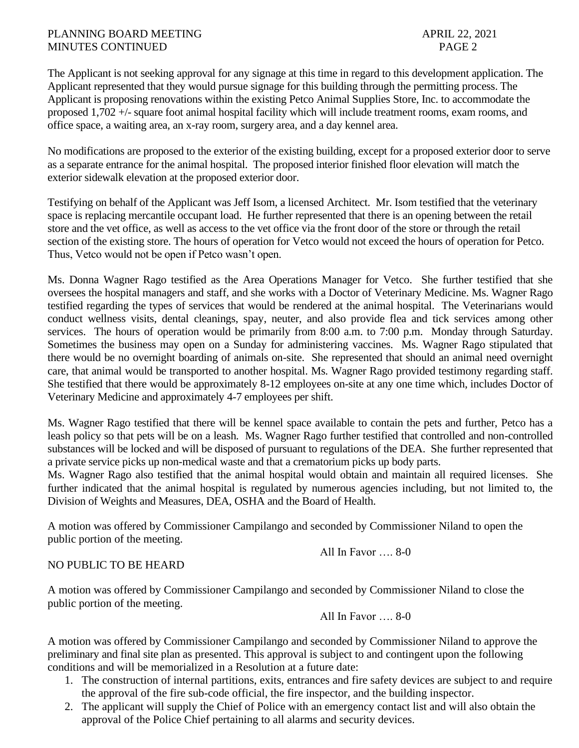The Applicant is not seeking approval for any signage at this time in regard to this development application. The Applicant represented that they would pursue signage for this building through the permitting process. The Applicant is proposing renovations within the existing Petco Animal Supplies Store, Inc. to accommodate the proposed 1,702 +/- square foot animal hospital facility which will include treatment rooms, exam rooms, and office space, a waiting area, an x-ray room, surgery area, and a day kennel area.

No modifications are proposed to the exterior of the existing building, except for a proposed exterior door to serve as a separate entrance for the animal hospital. The proposed interior finished floor elevation will match the exterior sidewalk elevation at the proposed exterior door.

Testifying on behalf of the Applicant was Jeff Isom, a licensed Architect. Mr. Isom testified that the veterinary space is replacing mercantile occupant load. He further represented that there is an opening between the retail store and the vet office, as well as access to the vet office via the front door of the store or through the retail section of the existing store. The hours of operation for Vetco would not exceed the hours of operation for Petco. Thus, Vetco would not be open if Petco wasn't open.

Ms. Donna Wagner Rago testified as the Area Operations Manager for Vetco. She further testified that she oversees the hospital managers and staff, and she works with a Doctor of Veterinary Medicine. Ms. Wagner Rago testified regarding the types of services that would be rendered at the animal hospital. The Veterinarians would conduct wellness visits, dental cleanings, spay, neuter, and also provide flea and tick services among other services. The hours of operation would be primarily from 8:00 a.m. to 7:00 p.m. Monday through Saturday. Sometimes the business may open on a Sunday for administering vaccines. Ms. Wagner Rago stipulated that there would be no overnight boarding of animals on-site. She represented that should an animal need overnight care, that animal would be transported to another hospital. Ms. Wagner Rago provided testimony regarding staff. She testified that there would be approximately 8-12 employees on-site at any one time which, includes Doctor of Veterinary Medicine and approximately 4-7 employees per shift.

Ms. Wagner Rago testified that there will be kennel space available to contain the pets and further, Petco has a leash policy so that pets will be on a leash. Ms. Wagner Rago further testified that controlled and non-controlled substances will be locked and will be disposed of pursuant to regulations of the DEA. She further represented that a private service picks up non-medical waste and that a crematorium picks up body parts.

Ms. Wagner Rago also testified that the animal hospital would obtain and maintain all required licenses. She further indicated that the animal hospital is regulated by numerous agencies including, but not limited to, the Division of Weights and Measures, DEA, OSHA and the Board of Health.

A motion was offered by Commissioner Campilango and seconded by Commissioner Niland to open the public portion of the meeting.

All In Favor …. 8-0

# NO PUBLIC TO BE HEARD

A motion was offered by Commissioner Campilango and seconded by Commissioner Niland to close the public portion of the meeting.

All In Favor …. 8-0

A motion was offered by Commissioner Campilango and seconded by Commissioner Niland to approve the preliminary and final site plan as presented. This approval is subject to and contingent upon the following conditions and will be memorialized in a Resolution at a future date:

- 1. The construction of internal partitions, exits, entrances and fire safety devices are subject to and require the approval of the fire sub-code official, the fire inspector, and the building inspector.
- 2. The applicant will supply the Chief of Police with an emergency contact list and will also obtain the approval of the Police Chief pertaining to all alarms and security devices.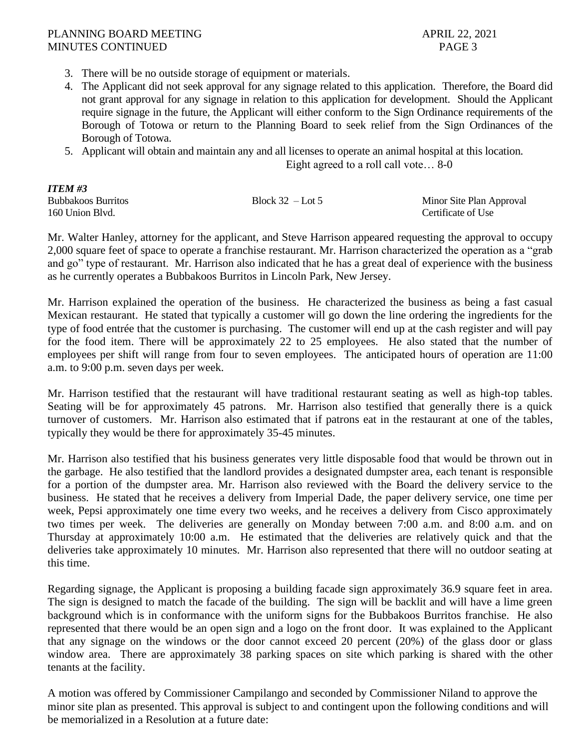- 3. There will be no outside storage of equipment or materials.
- 4. The Applicant did not seek approval for any signage related to this application. Therefore, the Board did not grant approval for any signage in relation to this application for development. Should the Applicant require signage in the future, the Applicant will either conform to the Sign Ordinance requirements of the Borough of Totowa or return to the Planning Board to seek relief from the Sign Ordinances of the Borough of Totowa.
- 5. Applicant will obtain and maintain any and all licenses to operate an animal hospital at this location.

Eight agreed to a roll call vote… 8-0

| ITEM #3                   |                    |                          |
|---------------------------|--------------------|--------------------------|
| <b>Bubbakoos Burritos</b> | Block $32 -$ Lot 5 | Minor Site Plan Approval |
| 160 Union Blvd.           |                    | Certificate of Use       |

Mr. Walter Hanley, attorney for the applicant, and Steve Harrison appeared requesting the approval to occupy 2,000 square feet of space to operate a franchise restaurant. Mr. Harrison characterized the operation as a "grab and go" type of restaurant. Mr. Harrison also indicated that he has a great deal of experience with the business as he currently operates a Bubbakoos Burritos in Lincoln Park, New Jersey.

Mr. Harrison explained the operation of the business. He characterized the business as being a fast casual Mexican restaurant. He stated that typically a customer will go down the line ordering the ingredients for the type of food entrée that the customer is purchasing. The customer will end up at the cash register and will pay for the food item. There will be approximately 22 to 25 employees. He also stated that the number of employees per shift will range from four to seven employees. The anticipated hours of operation are 11:00 a.m. to 9:00 p.m. seven days per week.

Mr. Harrison testified that the restaurant will have traditional restaurant seating as well as high-top tables. Seating will be for approximately 45 patrons. Mr. Harrison also testified that generally there is a quick turnover of customers. Mr. Harrison also estimated that if patrons eat in the restaurant at one of the tables, typically they would be there for approximately 35-45 minutes.

Mr. Harrison also testified that his business generates very little disposable food that would be thrown out in the garbage. He also testified that the landlord provides a designated dumpster area, each tenant is responsible for a portion of the dumpster area. Mr. Harrison also reviewed with the Board the delivery service to the business. He stated that he receives a delivery from Imperial Dade, the paper delivery service, one time per week, Pepsi approximately one time every two weeks, and he receives a delivery from Cisco approximately two times per week. The deliveries are generally on Monday between 7:00 a.m. and 8:00 a.m. and on Thursday at approximately 10:00 a.m. He estimated that the deliveries are relatively quick and that the deliveries take approximately 10 minutes. Mr. Harrison also represented that there will no outdoor seating at this time.

Regarding signage, the Applicant is proposing a building facade sign approximately 36.9 square feet in area. The sign is designed to match the facade of the building. The sign will be backlit and will have a lime green background which is in conformance with the uniform signs for the Bubbakoos Burritos franchise. He also represented that there would be an open sign and a logo on the front door. It was explained to the Applicant that any signage on the windows or the door cannot exceed 20 percent (20%) of the glass door or glass window area. There are approximately 38 parking spaces on site which parking is shared with the other tenants at the facility.

A motion was offered by Commissioner Campilango and seconded by Commissioner Niland to approve the minor site plan as presented. This approval is subject to and contingent upon the following conditions and will be memorialized in a Resolution at a future date: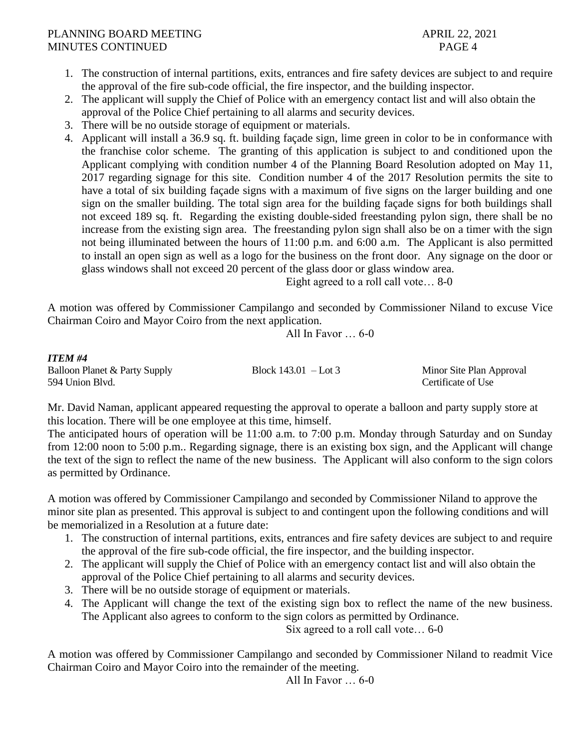*ITEM #4*

- 1. The construction of internal partitions, exits, entrances and fire safety devices are subject to and require the approval of the fire sub-code official, the fire inspector, and the building inspector.
- 2. The applicant will supply the Chief of Police with an emergency contact list and will also obtain the approval of the Police Chief pertaining to all alarms and security devices.
- 3. There will be no outside storage of equipment or materials.
- 4. Applicant will install a 36.9 sq. ft. building façade sign, lime green in color to be in conformance with the franchise color scheme. The granting of this application is subject to and conditioned upon the Applicant complying with condition number 4 of the Planning Board Resolution adopted on May 11, 2017 regarding signage for this site. Condition number 4 of the 2017 Resolution permits the site to have a total of six building façade signs with a maximum of five signs on the larger building and one sign on the smaller building. The total sign area for the building façade signs for both buildings shall not exceed 189 sq. ft. Regarding the existing double-sided freestanding pylon sign, there shall be no increase from the existing sign area. The freestanding pylon sign shall also be on a timer with the sign not being illuminated between the hours of 11:00 p.m. and 6:00 a.m. The Applicant is also permitted to install an open sign as well as a logo for the business on the front door. Any signage on the door or glass windows shall not exceed 20 percent of the glass door or glass window area.

Eight agreed to a roll call vote… 8-0

A motion was offered by Commissioner Campilango and seconded by Commissioner Niland to excuse Vice Chairman Coiro and Mayor Coiro from the next application.

All In Favor … 6-0

| 11 C.W. #4                    |                        |                          |
|-------------------------------|------------------------|--------------------------|
| Balloon Planet & Party Supply | Block $143.01 -$ Lot 3 | Minor Site Plan Approval |
| 594 Union Blvd.               |                        | Certificate of Use       |

Mr. David Naman, applicant appeared requesting the approval to operate a balloon and party supply store at this location. There will be one employee at this time, himself.

The anticipated hours of operation will be 11:00 a.m. to 7:00 p.m. Monday through Saturday and on Sunday from 12:00 noon to 5:00 p.m.. Regarding signage, there is an existing box sign, and the Applicant will change the text of the sign to reflect the name of the new business. The Applicant will also conform to the sign colors as permitted by Ordinance.

A motion was offered by Commissioner Campilango and seconded by Commissioner Niland to approve the minor site plan as presented. This approval is subject to and contingent upon the following conditions and will be memorialized in a Resolution at a future date:

- 1. The construction of internal partitions, exits, entrances and fire safety devices are subject to and require the approval of the fire sub-code official, the fire inspector, and the building inspector.
- 2. The applicant will supply the Chief of Police with an emergency contact list and will also obtain the approval of the Police Chief pertaining to all alarms and security devices.
- 3. There will be no outside storage of equipment or materials.
- 4. The Applicant will change the text of the existing sign box to reflect the name of the new business. The Applicant also agrees to conform to the sign colors as permitted by Ordinance.

Six agreed to a roll call vote… 6-0

A motion was offered by Commissioner Campilango and seconded by Commissioner Niland to readmit Vice Chairman Coiro and Mayor Coiro into the remainder of the meeting.

All In Favor … 6-0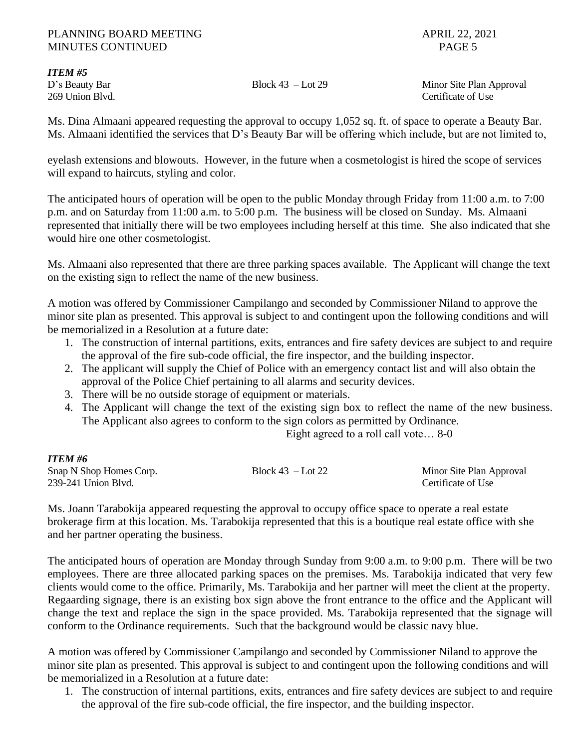*ITEM #5*

D's Beauty Bar Block 43 – Lot 29 Minor Site Plan Approval 269 Union Blvd. Certificate of Use

Ms. Dina Almaani appeared requesting the approval to occupy 1,052 sq. ft. of space to operate a Beauty Bar. Ms. Almaani identified the services that D's Beauty Bar will be offering which include, but are not limited to,

eyelash extensions and blowouts. However, in the future when a cosmetologist is hired the scope of services will expand to haircuts, styling and color.

The anticipated hours of operation will be open to the public Monday through Friday from 11:00 a.m. to 7:00 p.m. and on Saturday from 11:00 a.m. to 5:00 p.m. The business will be closed on Sunday. Ms. Almaani represented that initially there will be two employees including herself at this time. She also indicated that she would hire one other cosmetologist.

Ms. Almaani also represented that there are three parking spaces available. The Applicant will change the text on the existing sign to reflect the name of the new business.

A motion was offered by Commissioner Campilango and seconded by Commissioner Niland to approve the minor site plan as presented. This approval is subject to and contingent upon the following conditions and will be memorialized in a Resolution at a future date:

- 1. The construction of internal partitions, exits, entrances and fire safety devices are subject to and require the approval of the fire sub-code official, the fire inspector, and the building inspector.
- 2. The applicant will supply the Chief of Police with an emergency contact list and will also obtain the approval of the Police Chief pertaining to all alarms and security devices.
- 3. There will be no outside storage of equipment or materials.
- 4. The Applicant will change the text of the existing sign box to reflect the name of the new business. The Applicant also agrees to conform to the sign colors as permitted by Ordinance.

Eight agreed to a roll call vote… 8-0

### *ITEM #6*

| Snap N Shop Homes Corp. | Block $43$ – Lot 22 | Minor Site Plan Approval |
|-------------------------|---------------------|--------------------------|
| 239-241 Union Blvd.     |                     | Certificate of Use       |

Ms. Joann Tarabokija appeared requesting the approval to occupy office space to operate a real estate brokerage firm at this location. Ms. Tarabokija represented that this is a boutique real estate office with she and her partner operating the business.

The anticipated hours of operation are Monday through Sunday from 9:00 a.m. to 9:00 p.m. There will be two employees. There are three allocated parking spaces on the premises. Ms. Tarabokija indicated that very few clients would come to the office. Primarily, Ms. Tarabokija and her partner will meet the client at the property. Regaarding signage, there is an existing box sign above the front entrance to the office and the Applicant will change the text and replace the sign in the space provided. Ms. Tarabokija represented that the signage will conform to the Ordinance requirements. Such that the background would be classic navy blue.

A motion was offered by Commissioner Campilango and seconded by Commissioner Niland to approve the minor site plan as presented. This approval is subject to and contingent upon the following conditions and will be memorialized in a Resolution at a future date:

1. The construction of internal partitions, exits, entrances and fire safety devices are subject to and require the approval of the fire sub-code official, the fire inspector, and the building inspector.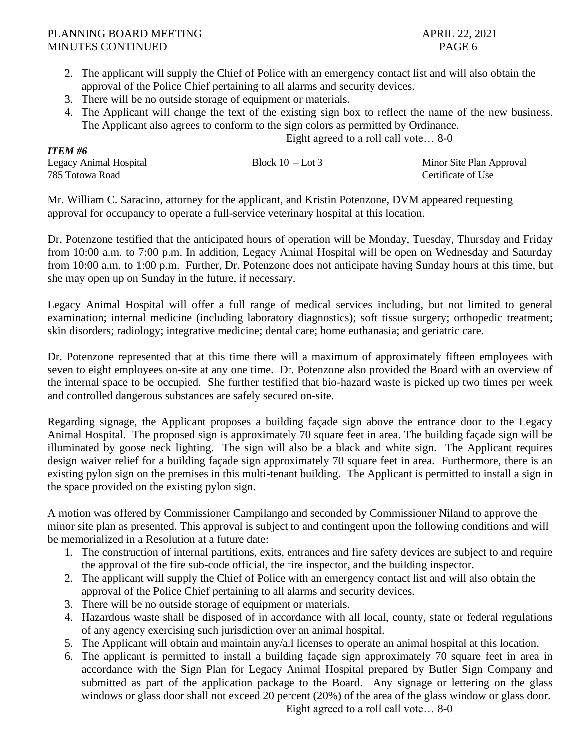*ITEM #6*

- 2. The applicant will supply the Chief of Police with an emergency contact list and will also obtain the approval of the Police Chief pertaining to all alarms and security devices.
- 3. There will be no outside storage of equipment or materials.
- 4. The Applicant will change the text of the existing sign box to reflect the name of the new business. The Applicant also agrees to conform to the sign colors as permitted by Ordinance.

Eight agreed to a roll call vote… 8-0

| 11 ели по              |                    |                          |
|------------------------|--------------------|--------------------------|
| Legacy Animal Hospital | Block $10$ – Lot 3 | Minor Site Plan Approval |
| 785 Totowa Road        |                    | Certificate of Use       |

Mr. William C. Saracino, attorney for the applicant, and Kristin Potenzone, DVM appeared requesting approval for occupancy to operate a full-service veterinary hospital at this location.

Dr. Potenzone testified that the anticipated hours of operation will be Monday, Tuesday, Thursday and Friday from 10:00 a.m. to 7:00 p.m. In addition, Legacy Animal Hospital will be open on Wednesday and Saturday from 10:00 a.m. to 1:00 p.m. Further, Dr. Potenzone does not anticipate having Sunday hours at this time, but she may open up on Sunday in the future, if necessary.

Legacy Animal Hospital will offer a full range of medical services including, but not limited to general examination; internal medicine (including laboratory diagnostics); soft tissue surgery; orthopedic treatment; skin disorders; radiology; integrative medicine; dental care; home euthanasia; and geriatric care.

Dr. Potenzone represented that at this time there will a maximum of approximately fifteen employees with seven to eight employees on-site at any one time. Dr. Potenzone also provided the Board with an overview of the internal space to be occupied. She further testified that bio-hazard waste is picked up two times per week and controlled dangerous substances are safely secured on-site.

Regarding signage, the Applicant proposes a building façade sign above the entrance door to the Legacy Animal Hospital. The proposed sign is approximately 70 square feet in area. The building façade sign will be illuminated by goose neck lighting. The sign will also be a black and white sign. The Applicant requires design waiver relief for a building façade sign approximately 70 square feet in area. Furthermore, there is an existing pylon sign on the premises in this multi-tenant building. The Applicant is permitted to install a sign in the space provided on the existing pylon sign.

A motion was offered by Commissioner Campilango and seconded by Commissioner Niland to approve the minor site plan as presented. This approval is subject to and contingent upon the following conditions and will be memorialized in a Resolution at a future date:

- 1. The construction of internal partitions, exits, entrances and fire safety devices are subject to and require the approval of the fire sub-code official, the fire inspector, and the building inspector.
- 2. The applicant will supply the Chief of Police with an emergency contact list and will also obtain the approval of the Police Chief pertaining to all alarms and security devices.
- 3. There will be no outside storage of equipment or materials.
- 4. Hazardous waste shall be disposed of in accordance with all local, county, state or federal regulations of any agency exercising such jurisdiction over an animal hospital.
- 5. The Applicant will obtain and maintain any/all licenses to operate an animal hospital at this location.
- 6. The applicant is permitted to install a building façade sign approximately 70 square feet in area in accordance with the Sign Plan for Legacy Animal Hospital prepared by Butler Sign Company and submitted as part of the application package to the Board. Any signage or lettering on the glass windows or glass door shall not exceed 20 percent (20%) of the area of the glass window or glass door.

Eight agreed to a roll call vote… 8-0